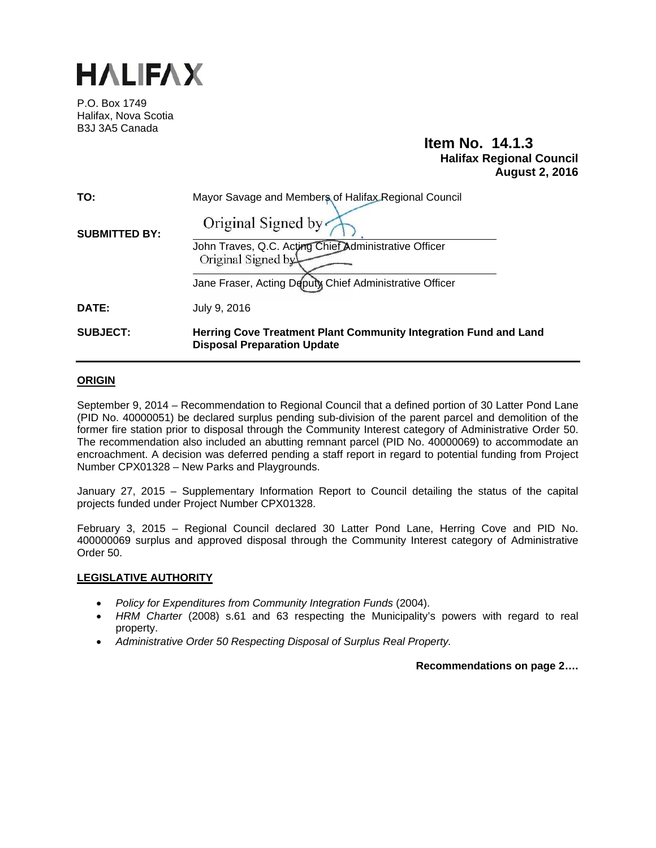

P.O. Box 1749 Halifax, Nova Scotia B3J 3A5 Canada

# **Item No. 14.1.3 Halifax Regional Council August 2, 2016**

| TO:                  | Mayor Savage and Members of Halifax Regional Council                                                   |  |
|----------------------|--------------------------------------------------------------------------------------------------------|--|
| <b>SUBMITTED BY:</b> | Original Signed by                                                                                     |  |
|                      | John Traves, Q.C. Acting Chief Administrative Officer<br>Original Signed by                            |  |
|                      | Jane Fraser, Acting Deputy Chief Administrative Officer                                                |  |
| DATE:                | July 9, 2016                                                                                           |  |
| <b>SUBJECT:</b>      | Herring Cove Treatment Plant Community Integration Fund and Land<br><b>Disposal Preparation Update</b> |  |

# **ORIGIN**

September 9, 2014 – Recommendation to Regional Council that a defined portion of 30 Latter Pond Lane (PID No. 40000051) be declared surplus pending sub-division of the parent parcel and demolition of the former fire station prior to disposal through the Community Interest category of Administrative Order 50. The recommendation also included an abutting remnant parcel (PID No. 40000069) to accommodate an encroachment. A decision was deferred pending a staff report in regard to potential funding from Project Number CPX01328 – New Parks and Playgrounds.

January 27, 2015 – Supplementary Information Report to Council detailing the status of the capital projects funded under Project Number CPX01328.

February 3, 2015 – Regional Council declared 30 Latter Pond Lane, Herring Cove and PID No. 400000069 surplus and approved disposal through the Community Interest category of Administrative Order 50.

## **LEGISLATIVE AUTHORITY**

- *Policy for Expenditures from Community Integration Funds* (2004).
- *HRM Charter* (2008) s.61 and 63 respecting the Municipality's powers with regard to real property.
- *Administrative Order 50 Respecting Disposal of Surplus Real Property.*

**Recommendations on page 2….**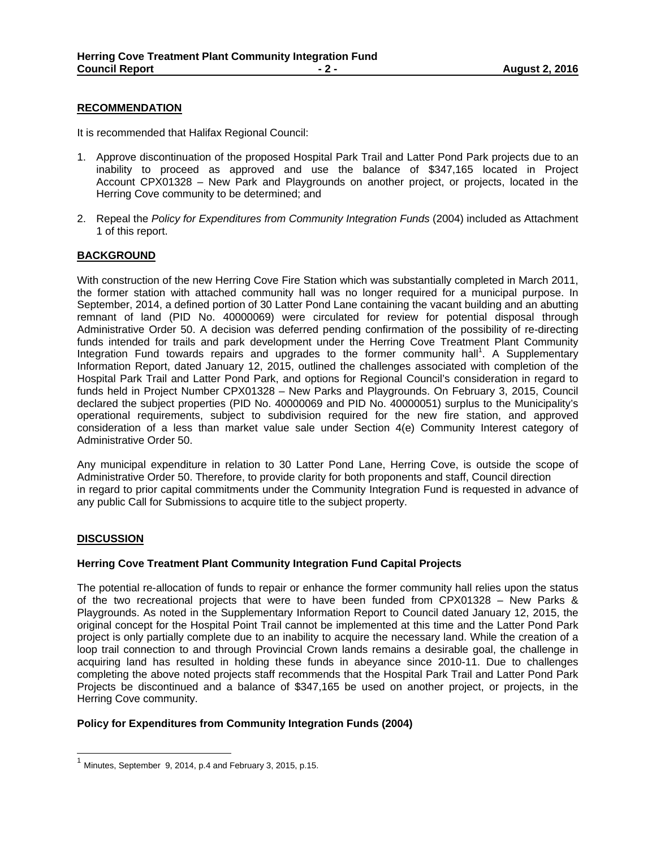#### **RECOMMENDATION**

It is recommended that Halifax Regional Council:

- 1. Approve discontinuation of the proposed Hospital Park Trail and Latter Pond Park projects due to an inability to proceed as approved and use the balance of \$347,165 located in Project Account CPX01328 – New Park and Playgrounds on another project, or projects, located in the Herring Cove community to be determined; and
- 2. Repeal the *Policy for Expenditures from Community Integration Funds* (2004) included as Attachment 1 of this report.

## **BACKGROUND**

With construction of the new Herring Cove Fire Station which was substantially completed in March 2011, the former station with attached community hall was no longer required for a municipal purpose. In September, 2014, a defined portion of 30 Latter Pond Lane containing the vacant building and an abutting remnant of land (PID No. 40000069) were circulated for review for potential disposal through Administrative Order 50. A decision was deferred pending confirmation of the possibility of re-directing funds intended for trails and park development under the Herring Cove Treatment Plant Community Integration Fund towards repairs and upgrades to the former community hall<sup>1</sup>. A Supplementary Information Report, dated January 12, 2015, outlined the challenges associated with completion of the Hospital Park Trail and Latter Pond Park, and options for Regional Council's consideration in regard to funds held in Project Number CPX01328 – New Parks and Playgrounds. On February 3, 2015, Council declared the subject properties (PID No. 40000069 and PID No. 40000051) surplus to the Municipality's operational requirements, subject to subdivision required for the new fire station, and approved consideration of a less than market value sale under Section 4(e) Community Interest category of Administrative Order 50.

Any municipal expenditure in relation to 30 Latter Pond Lane, Herring Cove, is outside the scope of Administrative Order 50. Therefore, to provide clarity for both proponents and staff, Council direction in regard to prior capital commitments under the Community Integration Fund is requested in advance of any public Call for Submissions to acquire title to the subject property.

## **DISCUSSION**

#### **Herring Cove Treatment Plant Community Integration Fund Capital Projects**

The potential re-allocation of funds to repair or enhance the former community hall relies upon the status of the two recreational projects that were to have been funded from CPX01328 – New Parks & Playgrounds. As noted in the Supplementary Information Report to Council dated January 12, 2015, the original concept for the Hospital Point Trail cannot be implemented at this time and the Latter Pond Park project is only partially complete due to an inability to acquire the necessary land. While the creation of a loop trail connection to and through Provincial Crown lands remains a desirable goal, the challenge in acquiring land has resulted in holding these funds in abeyance since 2010-11. Due to challenges completing the above noted projects staff recommends that the Hospital Park Trail and Latter Pond Park Projects be discontinued and a balance of \$347,165 be used on another project, or projects, in the Herring Cove community.

## **Policy for Expenditures from Community Integration Funds (2004)**

Minutes, September 9, 2014, p.4 and February 3, 2015, p.15.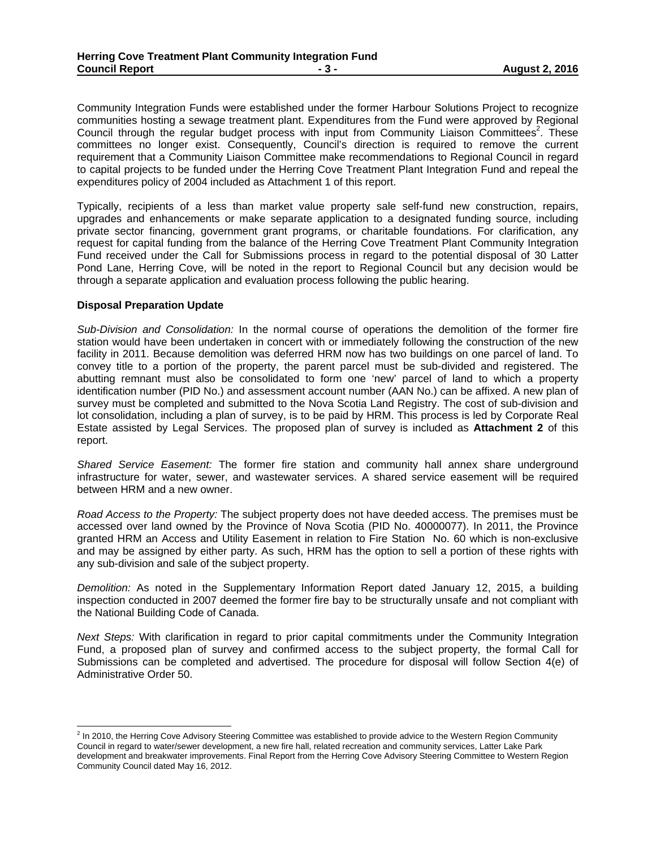Community Integration Funds were established under the former Harbour Solutions Project to recognize communities hosting a sewage treatment plant. Expenditures from the Fund were approved by Regional Council through the regular budget process with input from Community Liaison Committees<sup>2</sup>. These committees no longer exist. Consequently, Council's direction is required to remove the current requirement that a Community Liaison Committee make recommendations to Regional Council in regard to capital projects to be funded under the Herring Cove Treatment Plant Integration Fund and repeal the expenditures policy of 2004 included as Attachment 1 of this report.

Typically, recipients of a less than market value property sale self-fund new construction, repairs, upgrades and enhancements or make separate application to a designated funding source, including private sector financing, government grant programs, or charitable foundations. For clarification, any request for capital funding from the balance of the Herring Cove Treatment Plant Community Integration Fund received under the Call for Submissions process in regard to the potential disposal of 30 Latter Pond Lane, Herring Cove, will be noted in the report to Regional Council but any decision would be through a separate application and evaluation process following the public hearing.

#### **Disposal Preparation Update**

*Sub-Division and Consolidation:* In the normal course of operations the demolition of the former fire station would have been undertaken in concert with or immediately following the construction of the new facility in 2011. Because demolition was deferred HRM now has two buildings on one parcel of land. To convey title to a portion of the property, the parent parcel must be sub-divided and registered. The abutting remnant must also be consolidated to form one 'new' parcel of land to which a property identification number (PID No.) and assessment account number (AAN No.) can be affixed. A new plan of survey must be completed and submitted to the Nova Scotia Land Registry. The cost of sub-division and lot consolidation, including a plan of survey, is to be paid by HRM. This process is led by Corporate Real Estate assisted by Legal Services. The proposed plan of survey is included as **Attachment 2** of this report.

*Shared Service Easement:* The former fire station and community hall annex share underground infrastructure for water, sewer, and wastewater services. A shared service easement will be required between HRM and a new owner.

*Road Access to the Property:* The subject property does not have deeded access. The premises must be accessed over land owned by the Province of Nova Scotia (PID No. 40000077). In 2011, the Province granted HRM an Access and Utility Easement in relation to Fire Station No. 60 which is non-exclusive and may be assigned by either party. As such, HRM has the option to sell a portion of these rights with any sub-division and sale of the subject property.

*Demolition:* As noted in the Supplementary Information Report dated January 12, 2015, a building inspection conducted in 2007 deemed the former fire bay to be structurally unsafe and not compliant with the National Building Code of Canada.

*Next Steps:* With clarification in regard to prior capital commitments under the Community Integration Fund, a proposed plan of survey and confirmed access to the subject property, the formal Call for Submissions can be completed and advertised. The procedure for disposal will follow Section 4(e) of Administrative Order 50.

 2 In 2010, the Herring Cove Advisory Steering Committee was established to provide advice to the Western Region Community Council in regard to water/sewer development, a new fire hall, related recreation and community services, Latter Lake Park development and breakwater improvements. Final Report from the Herring Cove Advisory Steering Committee to Western Region Community Council dated May 16, 2012.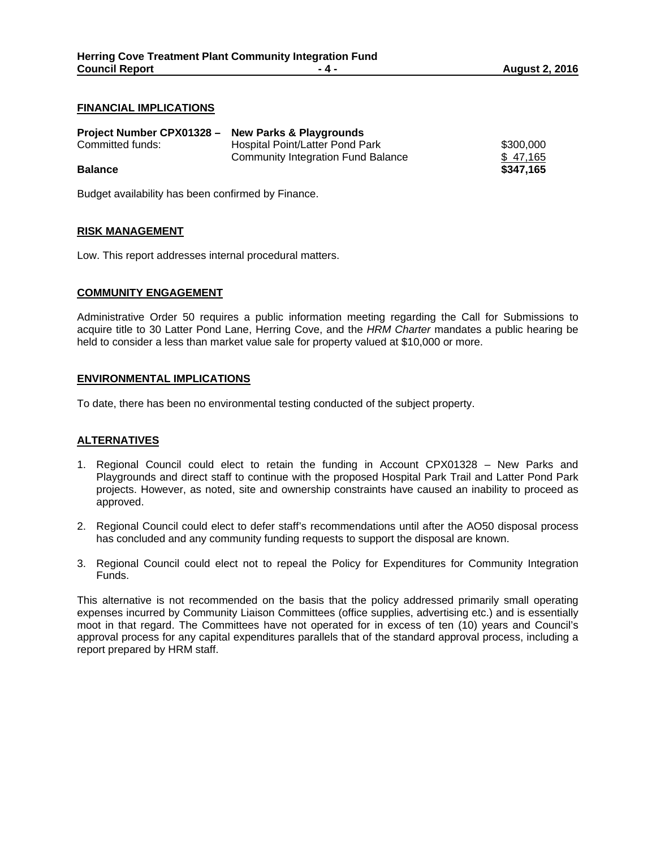#### **FINANCIAL IMPLICATIONS**

| Project Number CPX01328 - New Parks & Playgrounds |                                    |           |
|---------------------------------------------------|------------------------------------|-----------|
| Committed funds:                                  | Hospital Point/Latter Pond Park    | \$300,000 |
|                                                   | Community Integration Fund Balance | \$47.165  |
| <b>Balance</b>                                    |                                    | \$347.165 |

Budget availability has been confirmed by Finance.

## **RISK MANAGEMENT**

Low. This report addresses internal procedural matters.

#### **COMMUNITY ENGAGEMENT**

Administrative Order 50 requires a public information meeting regarding the Call for Submissions to acquire title to 30 Latter Pond Lane, Herring Cove, and the *HRM Charter* mandates a public hearing be held to consider a less than market value sale for property valued at \$10,000 or more.

#### **ENVIRONMENTAL IMPLICATIONS**

To date, there has been no environmental testing conducted of the subject property.

## **ALTERNATIVES**

- 1. Regional Council could elect to retain the funding in Account CPX01328 New Parks and Playgrounds and direct staff to continue with the proposed Hospital Park Trail and Latter Pond Park projects. However, as noted, site and ownership constraints have caused an inability to proceed as approved.
- 2. Regional Council could elect to defer staff's recommendations until after the AO50 disposal process has concluded and any community funding requests to support the disposal are known.
- 3. Regional Council could elect not to repeal the Policy for Expenditures for Community Integration Funds.

This alternative is not recommended on the basis that the policy addressed primarily small operating expenses incurred by Community Liaison Committees (office supplies, advertising etc.) and is essentially moot in that regard. The Committees have not operated for in excess of ten (10) years and Council's approval process for any capital expenditures parallels that of the standard approval process, including a report prepared by HRM staff.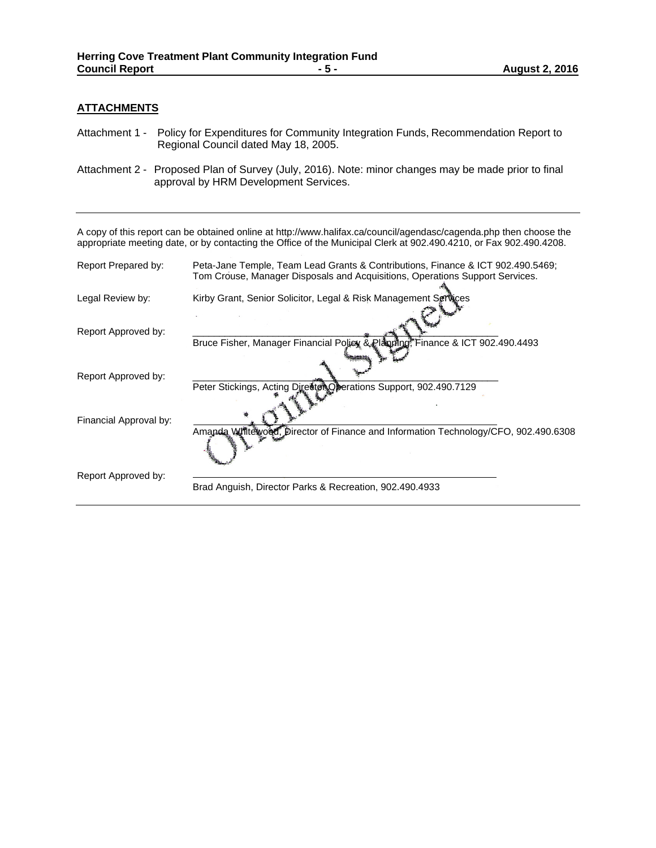## **ATTACHMENTS**

- Attachment 1 Policy for Expenditures for Community Integration Funds, Recommendation Report to Regional Council dated May 18, 2005.
- Attachment 2 Proposed Plan of Survey (July, 2016). Note: minor changes may be made prior to final approval by HRM Development Services.

A copy of this report can be obtained online at http://www.halifax.ca/council/agendasc/cagenda.php then choose the appropriate meeting date, or by contacting the Office of the Municipal Clerk at 902.490.4210, or Fax 902.490.4208.

| Report Prepared by:    | Peta-Jane Temple, Team Lead Grants & Contributions, Finance & ICT 902.490.5469;    |  |  |
|------------------------|------------------------------------------------------------------------------------|--|--|
|                        | Tom Crouse, Manager Disposals and Acquisitions, Operations Support Services.       |  |  |
| Legal Review by:       | Kirby Grant, Senior Solicitor, Legal & Risk Management Services                    |  |  |
|                        |                                                                                    |  |  |
| Report Approved by:    |                                                                                    |  |  |
|                        | Bruce Fisher, Manager Financial Policy & Planning, Finance & ICT 902.490.4493      |  |  |
|                        |                                                                                    |  |  |
| Report Approved by:    |                                                                                    |  |  |
|                        | Peter Stickings, Acting Director Operations Support, 902.490.7129                  |  |  |
|                        |                                                                                    |  |  |
| Financial Approval by: |                                                                                    |  |  |
|                        | Amanda Whiteword, Director of Finance and Information Technology/CFO, 902.490.6308 |  |  |
|                        |                                                                                    |  |  |
|                        |                                                                                    |  |  |
| Report Approved by:    |                                                                                    |  |  |
|                        | Brad Anguish, Director Parks & Recreation, 902,490.4933                            |  |  |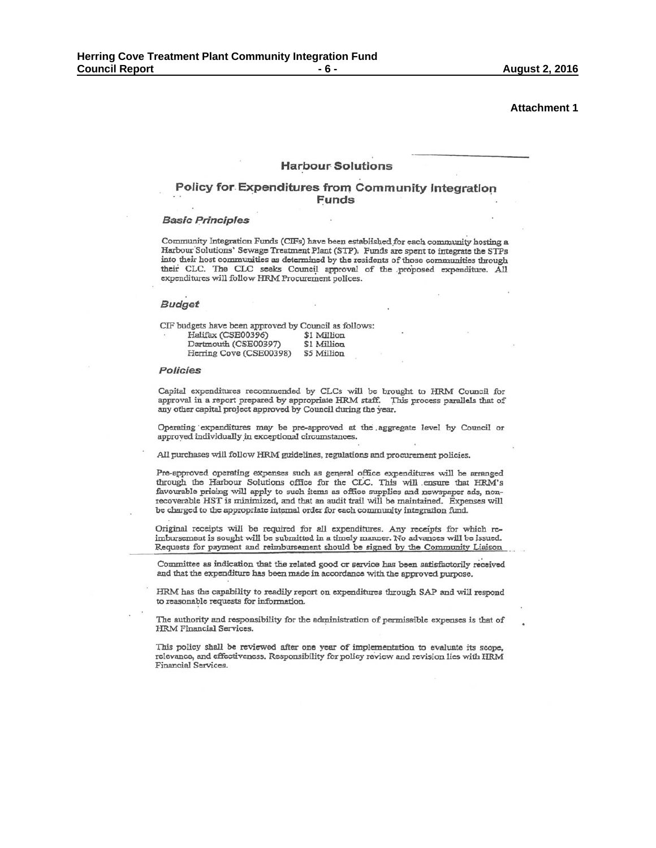**Attachment 1** 

#### **Harbour Solutions**

#### Policy for Expenditures from Community Integration **Funds**

#### **Basic Principles**

Community Integration Funds (CIFs) have been established for each community hosting a Harbour Solutions' Sewage Treatment Plant (STP). Funds are spent to integrate the STPs into their host communities as determined by the residents of those communities through their CLC. The CLC seeks Council approval of the proposed expenditure. All expenditures will follow HRM Procurement polices.

#### **Budget**

| CIF budgets have been approved by Council as follows: |             |
|-------------------------------------------------------|-------------|
| Halifax (CSE00396)                                    | \$1 Million |
| Dartmouth (CSE00397)                                  | \$1 Million |
| Herring Cove (CSE00398)                               | \$5 Million |

#### Policies

Capital expenditures recommended by CLCs will be brought to HRM Council for approval in a report prepared by appropriate HRM staff. This process parallels that of any other capital project approved by Council during the year.

Operating expenditures may be pre-approved at the aggregate level by Council or approved individually in exceptional circumstances.

All purchases will follow HRM guidelines, regulations and procurement policies.

Pre-approved operating expenses such as general office expenditures will be arranged through the Harbour Solutions office for the CLC. This will ensure that HRM's favourable pricing will apply to such items as office supplies and newspaper ads, nonrecoverable HST is minimized, and that an audit trail will be maintained. Expenses will be charged to the appropriate internal order for each community integration fund.

Original receipts will be required for all expenditures. Any receipts for which reimbursement is sought will be submitted in a timely manner. No advances will be issued. Requests for payment and reimbursement should be signed by the Community Liaison

Committee as indication that the related good or service has been satisfactorily received and that the expenditure has been made in accordance with the approved purpose.

HRM has the capability to readily report on expenditures through SAP and will respond to reasonable requests for information.

The authority and responsibility for the administration of permissible expenses is that of HRM Financial Services.

This policy shall be reviewed after one year of implementation to evaluate its scope, relevance, and effectiveness. Responsibility for policy review and revision lies with HRM Financial Services.